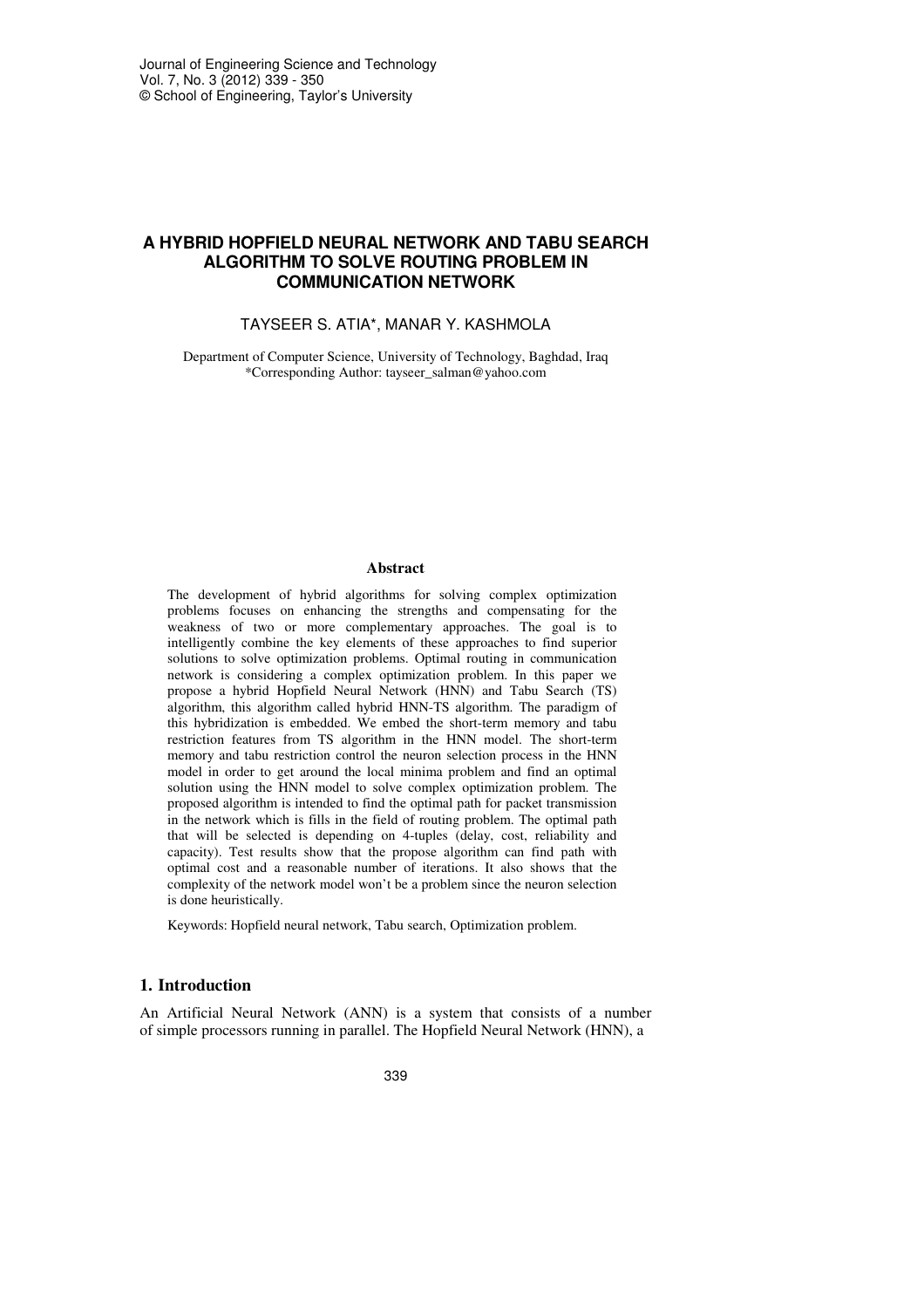# **A HYBRID HOPFIELD NEURAL NETWORK AND TABU SEARCH ALGORITHM TO SOLVE ROUTING PROBLEM IN COMMUNICATION NETWORK**

### TAYSEER S. ATIA\*, MANAR Y. KASHMOLA

Department of Computer Science, University of Technology, Baghdad, Iraq \*Corresponding Author: tayseer\_salman@yahoo.com

#### **Abstract**

The development of hybrid algorithms for solving complex optimization problems focuses on enhancing the strengths and compensating for the weakness of two or more complementary approaches. The goal is to intelligently combine the key elements of these approaches to find superior solutions to solve optimization problems. Optimal routing in communication network is considering a complex optimization problem. In this paper we propose a hybrid Hopfield Neural Network (HNN) and Tabu Search (TS) algorithm, this algorithm called hybrid HNN-TS algorithm. The paradigm of this hybridization is embedded. We embed the short-term memory and tabu restriction features from TS algorithm in the HNN model. The short-term memory and tabu restriction control the neuron selection process in the HNN model in order to get around the local minima problem and find an optimal solution using the HNN model to solve complex optimization problem. The proposed algorithm is intended to find the optimal path for packet transmission in the network which is fills in the field of routing problem. The optimal path that will be selected is depending on 4-tuples (delay, cost, reliability and capacity). Test results show that the propose algorithm can find path with optimal cost and a reasonable number of iterations. It also shows that the complexity of the network model won't be a problem since the neuron selection is done heuristically.

Keywords: Hopfield neural network, Tabu search, Optimization problem.

### **1. Introduction**

An Artificial Neural Network (ANN) is a system that consists of a number of simple processors running in parallel. The Hopfield Neural Network (HNN), a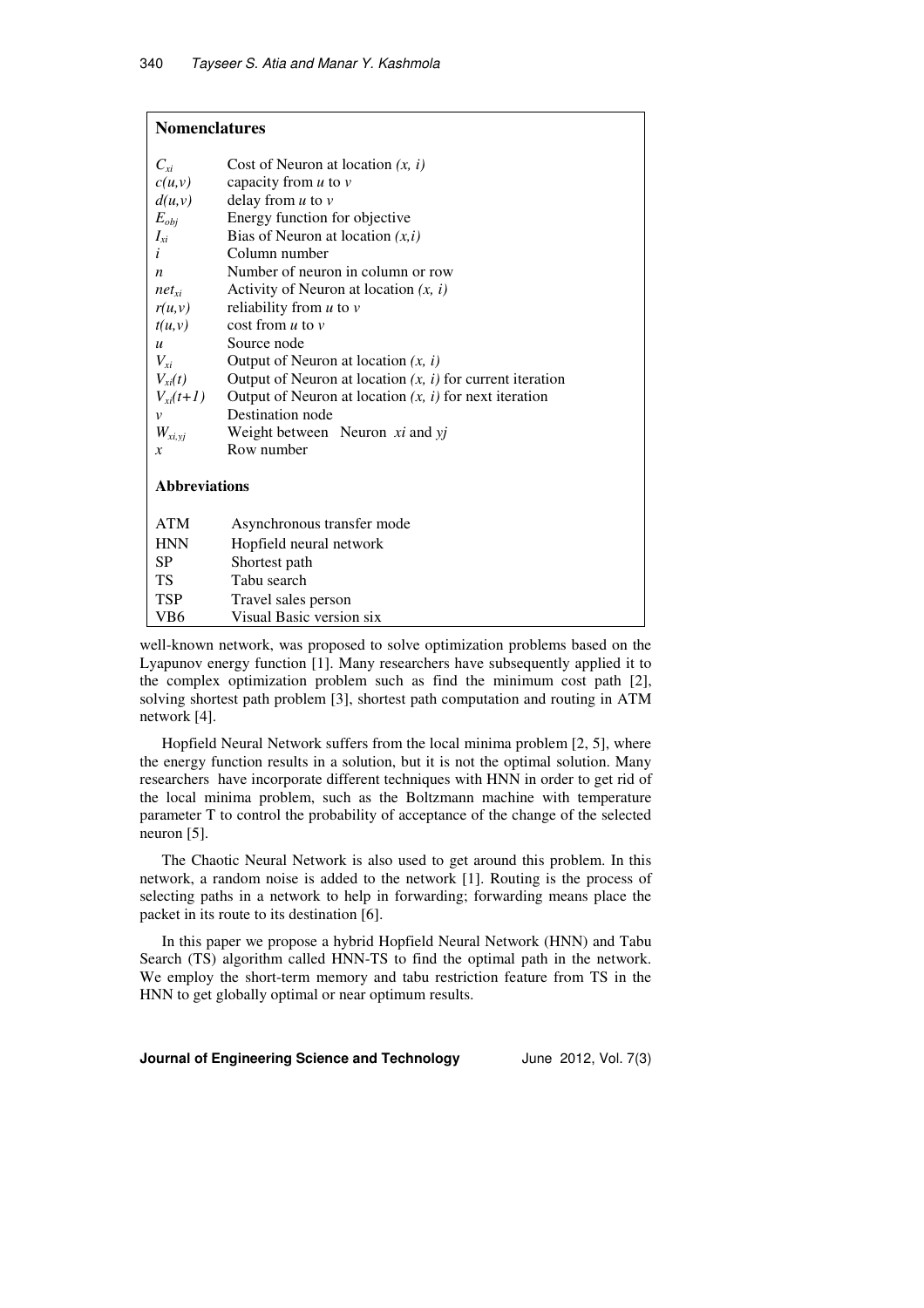# **Nomenclatures**

| Cost of Neuron at location $(x, i)$                                       |  |  |  |  |  |
|---------------------------------------------------------------------------|--|--|--|--|--|
| capacity from $u$ to $v$                                                  |  |  |  |  |  |
| delay from $u$ to $v$                                                     |  |  |  |  |  |
| Energy function for objective                                             |  |  |  |  |  |
| Bias of Neuron at location $(x, i)$                                       |  |  |  |  |  |
| Column number                                                             |  |  |  |  |  |
| Number of neuron in column or row                                         |  |  |  |  |  |
| Activity of Neuron at location $(x, i)$                                   |  |  |  |  |  |
| reliability from $u$ to $v$                                               |  |  |  |  |  |
| cost from $u$ to $v$                                                      |  |  |  |  |  |
| Source node                                                               |  |  |  |  |  |
| Output of Neuron at location $(x, i)$                                     |  |  |  |  |  |
| Output of Neuron at location $(x, i)$ for current iteration               |  |  |  |  |  |
| $V_{xi}(t+1)$<br>Output of Neuron at location $(x, i)$ for next iteration |  |  |  |  |  |
| Destination node                                                          |  |  |  |  |  |
| Weight between Neuron xi and yj                                           |  |  |  |  |  |
| Row number                                                                |  |  |  |  |  |
| <b>Abbreviations</b>                                                      |  |  |  |  |  |
| Asynchronous transfer mode                                                |  |  |  |  |  |
| Hopfield neural network                                                   |  |  |  |  |  |
| Shortest path                                                             |  |  |  |  |  |
| Tabu search                                                               |  |  |  |  |  |
| Travel sales person                                                       |  |  |  |  |  |
|                                                                           |  |  |  |  |  |

well-known network, was proposed to solve optimization problems based on the Lyapunov energy function [1]. Many researchers have subsequently applied it to the complex optimization problem such as find the minimum cost path [2], solving shortest path problem [3], shortest path computation and routing in ATM network [4].

Hopfield Neural Network suffers from the local minima problem [2, 5], where the energy function results in a solution, but it is not the optimal solution. Many researchers have incorporate different techniques with HNN in order to get rid of the local minima problem, such as the Boltzmann machine with temperature parameter T to control the probability of acceptance of the change of the selected neuron [5].

The Chaotic Neural Network is also used to get around this problem. In this network, a random noise is added to the network [1]. Routing is the process of selecting paths in a network to help in forwarding; forwarding means place the packet in its route to its destination [6].

In this paper we propose a hybrid Hopfield Neural Network (HNN) and Tabu Search (TS) algorithm called HNN-TS to find the optimal path in the network. We employ the short-term memory and tabu restriction feature from TS in the HNN to get globally optimal or near optimum results.

#### **Journal of Engineering Science and Technology** June 2012, Vol. 7(3)

VB6 Visual Basic version six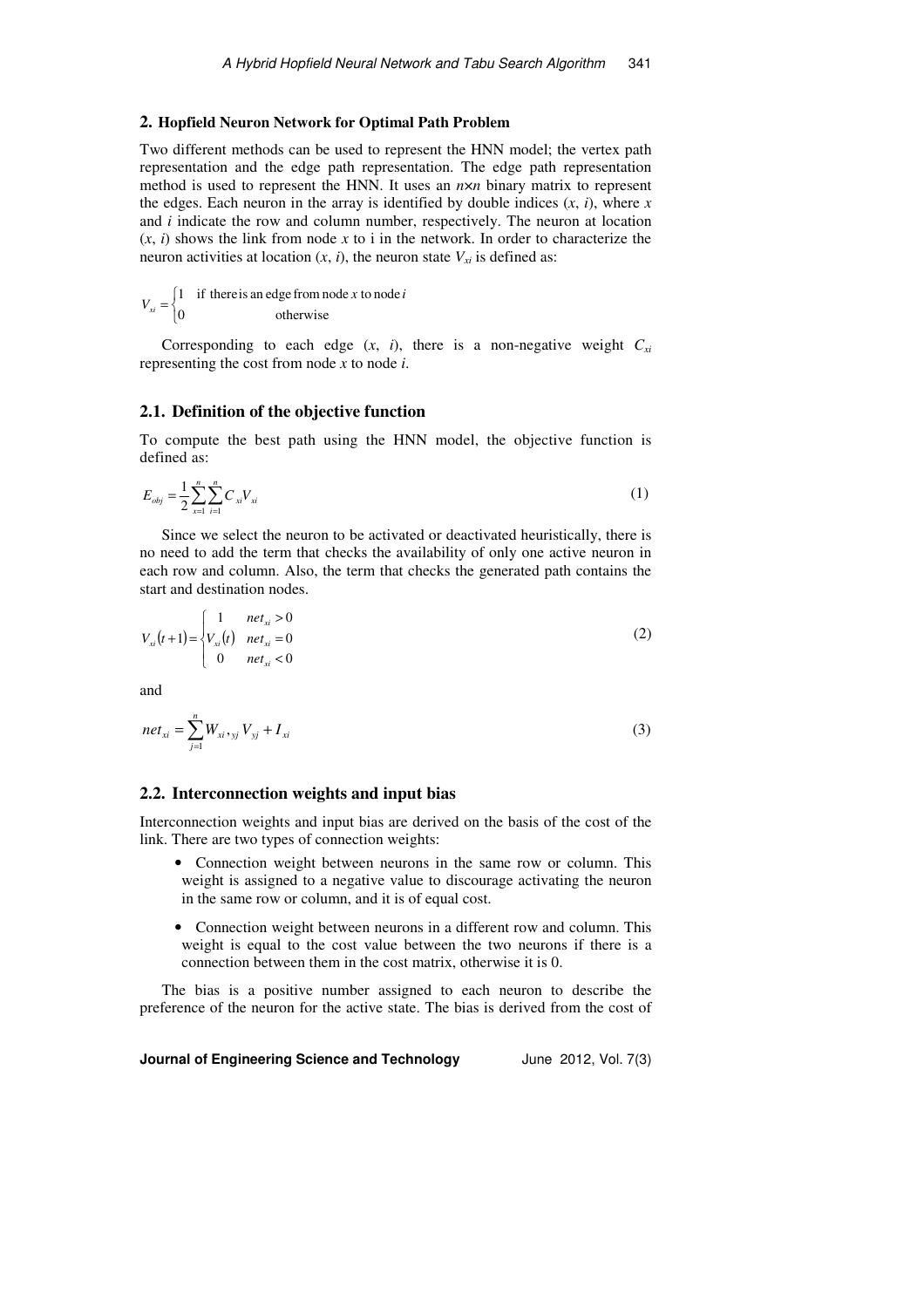## **2. Hopfield Neuron Network for Optimal Path Problem**

Two different methods can be used to represent the HNN model; the vertex path representation and the edge path representation. The edge path representation method is used to represent the HNN. It uses an *n*×*n* binary matrix to represent the edges. Each neuron in the array is identified by double indices  $(x, i)$ , where  $x$ and *i* indicate the row and column number, respectively. The neuron at location  $(x, i)$  shows the link from node x to i in the network. In order to characterize the neuron activities at location  $(x, i)$ , the neuron state  $V_{xi}$  is defined as:

$$
V_{xi} = \begin{cases} 1 & \text{if there is an edge from node } x \text{ to node } i \\ 0 & \text{otherwise} \end{cases}
$$

Corresponding to each edge  $(x, i)$ , there is a non-negative weight  $C_{xi}$ representing the cost from node *x* to node *i*.

#### **2.1. Definition of the objective function**

To compute the best path using the HNN model, the objective function is defined as:

$$
E_{obj} = \frac{1}{2} \sum_{x=1}^{n} \sum_{i=1}^{n} C_{xi} V_{xi}
$$
 (1)

Since we select the neuron to be activated or deactivated heuristically, there is no need to add the term that checks the availability of only one active neuron in each row and column. Also, the term that checks the generated path contains the start and destination nodes.

$$
V_{xi}(t+1) = \begin{cases} 1 & net_{xi} > 0 \\ V_{xi}(t) & net_{xi} = 0 \\ 0 & net_{xi} < 0 \end{cases}
$$
 (2)

and

$$
net_{xi} = \sum_{j=1}^{n} W_{xi}, \, y_{ij} V_{yj} + I_{xi}
$$
\n(3)

### **2.2. Interconnection weights and input bias**

Interconnection weights and input bias are derived on the basis of the cost of the link. There are two types of connection weights:

- Connection weight between neurons in the same row or column. This weight is assigned to a negative value to discourage activating the neuron in the same row or column, and it is of equal cost.
- Connection weight between neurons in a different row and column. This weight is equal to the cost value between the two neurons if there is a connection between them in the cost matrix, otherwise it is 0.

The bias is a positive number assigned to each neuron to describe the preference of the neuron for the active state. The bias is derived from the cost of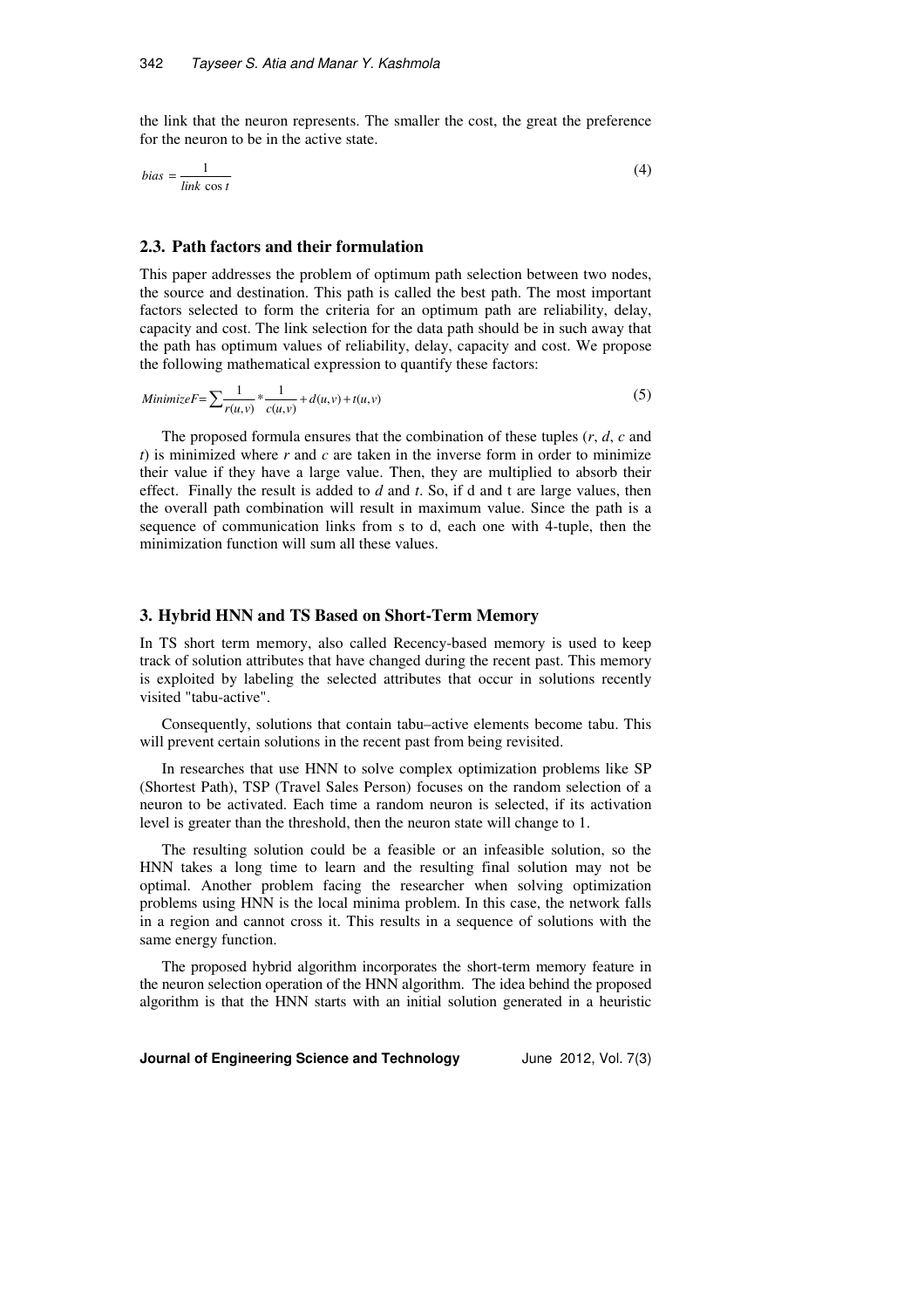the link that the neuron represents. The smaller the cost, the great the preference for the neuron to be in the active state.

$$
bias = \frac{1}{\lim k \cos t} \tag{4}
$$

#### **2.3. Path factors and their formulation**

This paper addresses the problem of optimum path selection between two nodes, the source and destination. This path is called the best path. The most important factors selected to form the criteria for an optimum path are reliability, delay, capacity and cost. The link selection for the data path should be in such away that the path has optimum values of reliability, delay, capacity and cost. We propose the following mathematical expression to quantify these factors:

Minimize 
$$
F = \sum \frac{1}{r(u,v)} \times \frac{1}{c(u,v)} + d(u,v) + t(u,v)
$$
 (5)

The proposed formula ensures that the combination of these tuples (*r*, *d*, *c* and  $t$ ) is minimized where  $r$  and  $c$  are taken in the inverse form in order to minimize their value if they have a large value. Then, they are multiplied to absorb their effect. Finally the result is added to *d* and *t*. So, if d and t are large values, then the overall path combination will result in maximum value. Since the path is a sequence of communication links from s to d, each one with 4-tuple, then the minimization function will sum all these values.

#### **3. Hybrid HNN and TS Based on Short-Term Memory**

In TS short term memory, also called Recency-based memory is used to keep track of solution attributes that have changed during the recent past. This memory is exploited by labeling the selected attributes that occur in solutions recently visited "tabu-active".

Consequently, solutions that contain tabu–active elements become tabu. This will prevent certain solutions in the recent past from being revisited.

In researches that use HNN to solve complex optimization problems like SP (Shortest Path), TSP (Travel Sales Person) focuses on the random selection of a neuron to be activated. Each time a random neuron is selected, if its activation level is greater than the threshold, then the neuron state will change to 1.

The resulting solution could be a feasible or an infeasible solution, so the HNN takes a long time to learn and the resulting final solution may not be optimal. Another problem facing the researcher when solving optimization problems using HNN is the local minima problem. In this case, the network falls in a region and cannot cross it. This results in a sequence of solutions with the same energy function.

The proposed hybrid algorithm incorporates the short-term memory feature in the neuron selection operation of the HNN algorithm. The idea behind the proposed algorithm is that the HNN starts with an initial solution generated in a heuristic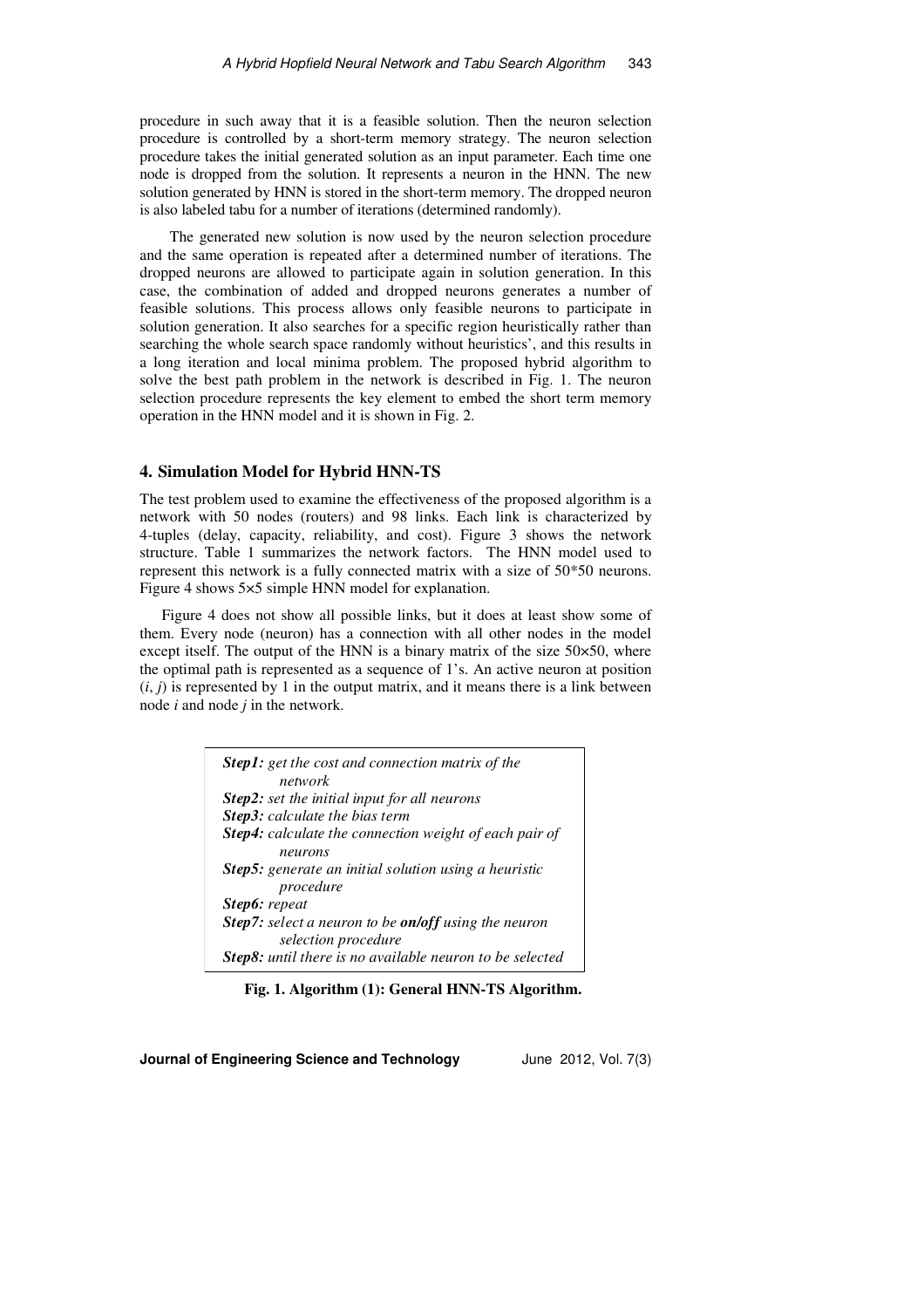procedure in such away that it is a feasible solution. Then the neuron selection procedure is controlled by a short-term memory strategy. The neuron selection procedure takes the initial generated solution as an input parameter. Each time one node is dropped from the solution. It represents a neuron in the HNN. The new solution generated by HNN is stored in the short-term memory. The dropped neuron is also labeled tabu for a number of iterations (determined randomly).

 The generated new solution is now used by the neuron selection procedure and the same operation is repeated after a determined number of iterations. The dropped neurons are allowed to participate again in solution generation. In this case, the combination of added and dropped neurons generates a number of feasible solutions. This process allows only feasible neurons to participate in solution generation. It also searches for a specific region heuristically rather than searching the whole search space randomly without heuristics', and this results in a long iteration and local minima problem. The proposed hybrid algorithm to solve the best path problem in the network is described in Fig. 1. The neuron selection procedure represents the key element to embed the short term memory operation in the HNN model and it is shown in Fig. 2.

#### **4. Simulation Model for Hybrid HNN-TS**

The test problem used to examine the effectiveness of the proposed algorithm is a network with 50 nodes (routers) and 98 links. Each link is characterized by 4-tuples (delay, capacity, reliability, and cost). Figure 3 shows the network structure. Table 1 summarizes the network factors. The HNN model used to represent this network is a fully connected matrix with a size of 50\*50 neurons. Figure 4 shows 5×5 simple HNN model for explanation.

Figure 4 does not show all possible links, but it does at least show some of them. Every node (neuron) has a connection with all other nodes in the model except itself. The output of the HNN is a binary matrix of the size  $50\times50$ , where the optimal path is represented as a sequence of 1's. An active neuron at position  $(i, j)$  is represented by 1 in the output matrix, and it means there is a link between node *i* and node *j* in the network.

| <b>Step1:</b> get the cost and connection matrix of the       |
|---------------------------------------------------------------|
| network                                                       |
| <b>Step2:</b> set the initial input for all neurons           |
| <b>Step3:</b> calculate the bias term                         |
| <b>Step4:</b> calculate the connection weight of each pair of |
| neurons                                                       |
| <b>Step5:</b> generate an initial solution using a heuristic  |
| procedure                                                     |
| Step6: repeat                                                 |
| Step7: select a neuron to be on/off using the neuron          |
| selection procedure                                           |
| Step8: until there is no available neuron to be selected      |

 **Fig. 1. Algorithm (1): General HNN-TS Algorithm.**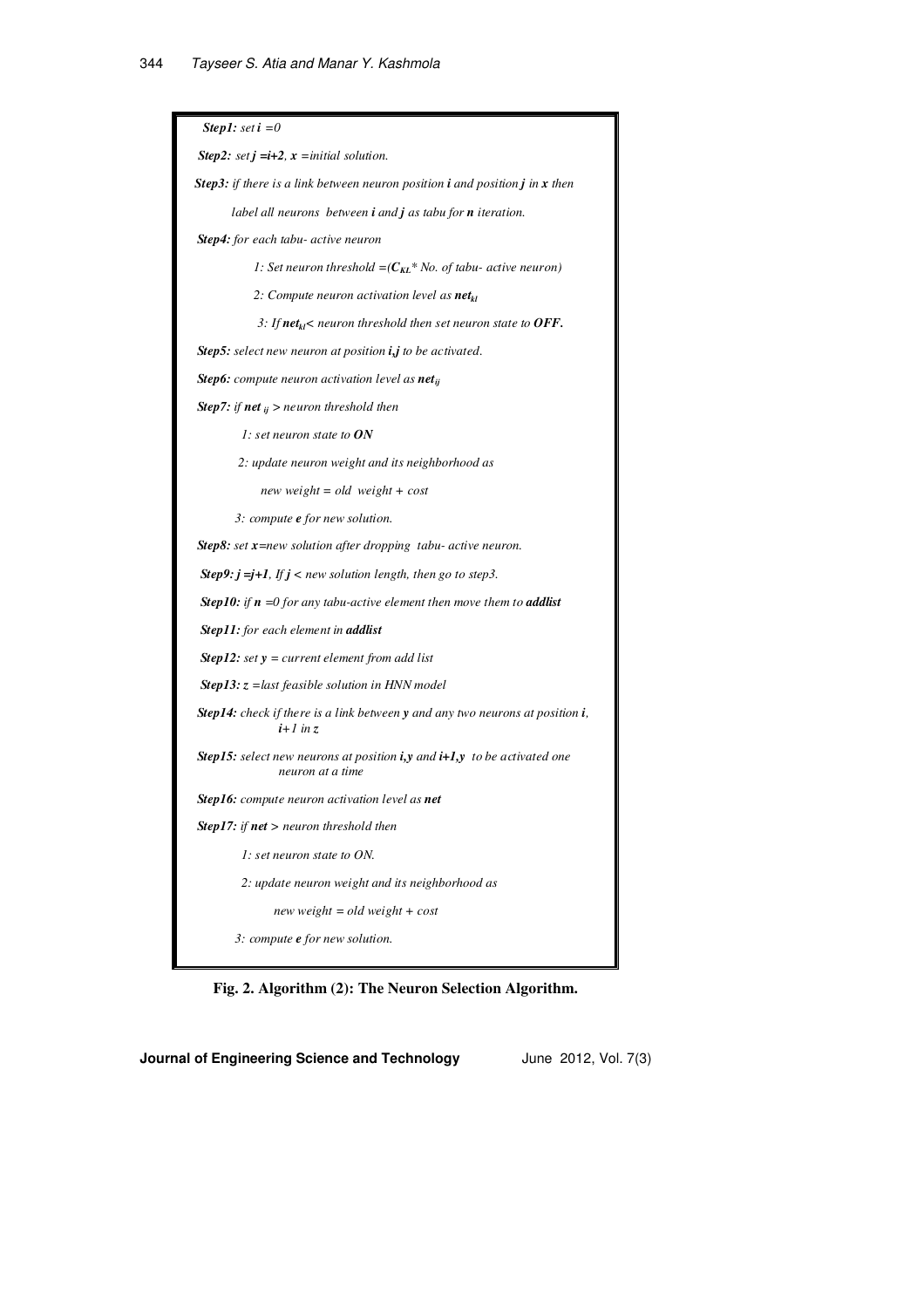| <b>Step1</b> : set $i = 0$                                                                                |
|-----------------------------------------------------------------------------------------------------------|
| <b>Step2:</b> set $j = i+2$ , $x = initial$ solution.                                                     |
| <b>Step3:</b> if there is a link between neuron position $i$ and position $j$ in $x$ then                 |
| label all neurons between $i$ and $j$ as tabu for $n$ iteration.                                          |
| Step4: for each tabu- active neuron                                                                       |
| 1: Set neuron threshold $=(C_{KL} * No.$ of tabu- active neuron)                                          |
| 2: Compute neuron activation level as <b>net</b> <sub>kl</sub>                                            |
| 3: If $net_{kl}$ < neuron threshold then set neuron state to OFF.                                         |
| Step5: select new neuron at position i,j to be activated.                                                 |
| <b>Step6:</b> compute neuron activation level as <b>net</b> <sub>ij</sub>                                 |
| <b>Step7:</b> if <b>net</b> $_{ij}$ > neuron threshold then                                               |
| 1: set neuron state to $ON$                                                                               |
| 2: update neuron weight and its neighborhood as                                                           |
| new weight = $old$ weight + $cost$                                                                        |
| 3: compute <b>e</b> for new solution.                                                                     |
| <b>Step8:</b> set $x$ =new solution after dropping tabu- active neuron.                                   |
| <b>Step9:</b> $j = j + 1$ , If $j < new$ solution length, then go to step3.                               |
| <b>Step10:</b> if $n = 0$ for any tabu-active element then move them to <b>addlist</b>                    |
| Step11: for each element in addlist                                                                       |
| <b>Step12:</b> set $y = current$ element from add list                                                    |
| <b>Step13:</b> $z =$ last feasible solution in HNN model                                                  |
| <b>Step14:</b> check if there is a link between $y$ and any two neurons at position $i$ ,<br>$i+1$ in z   |
| <b>Step15:</b> select new neurons at position $i, y$ and $i+1, y$ to be activated one<br>neuron at a time |
| <b>Step16:</b> compute neuron activation level as <b>net</b>                                              |
| <b>Step17:</b> if $net$ > neuron threshold then                                                           |
| $\Gamma$ : set neuron state to ON.                                                                        |
| 2: update neuron weight and its neighborhood as                                                           |
| new weight = old weight + $cost$                                                                          |
| 3: compute <b>e</b> for new solution.                                                                     |
|                                                                                                           |

**Fig. 2. Algorithm (2): The Neuron Selection Algorithm.**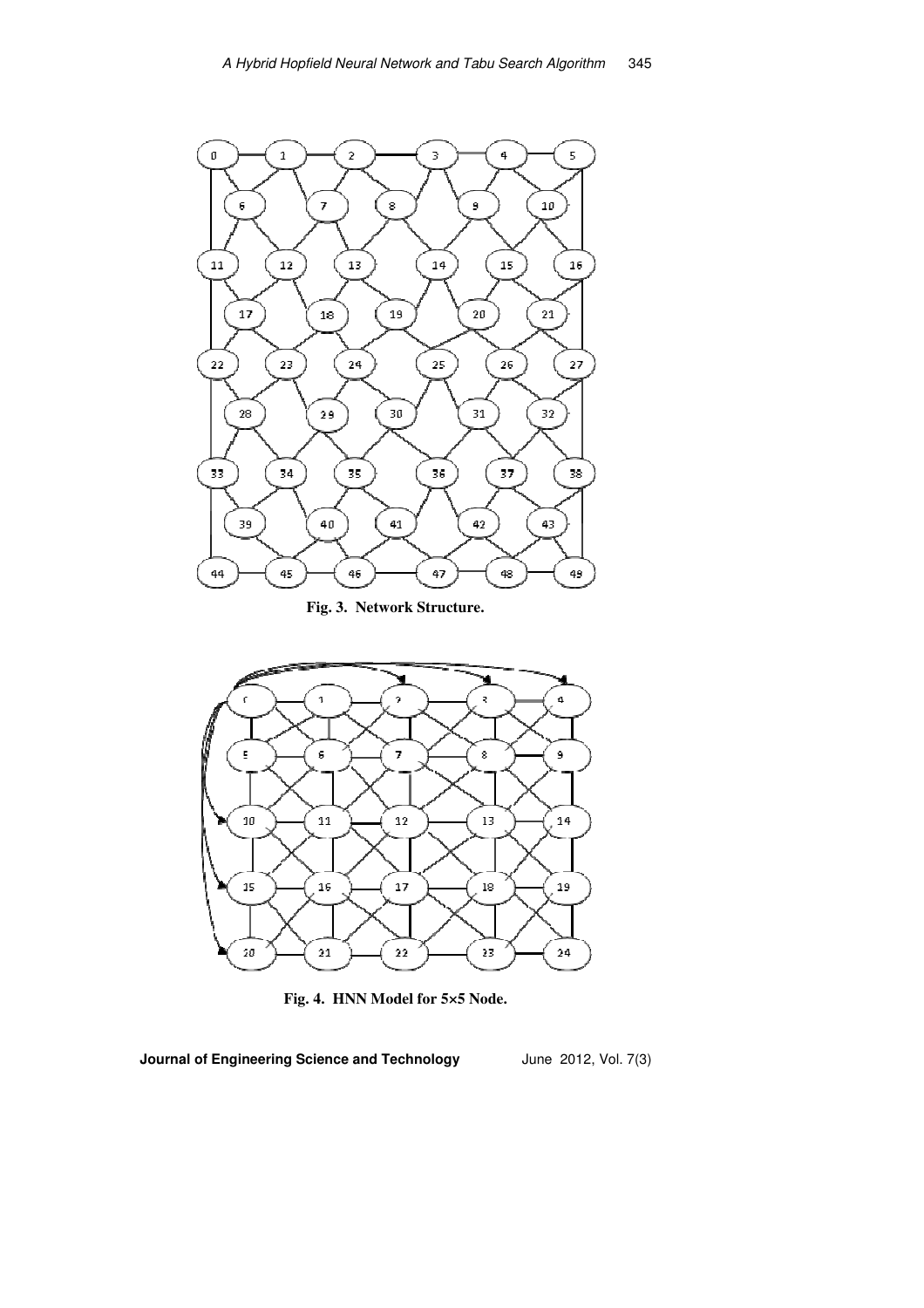

**Fig. 3. Network Structure.** 



**Fig. 4. HNN Model for 5×5 Node.**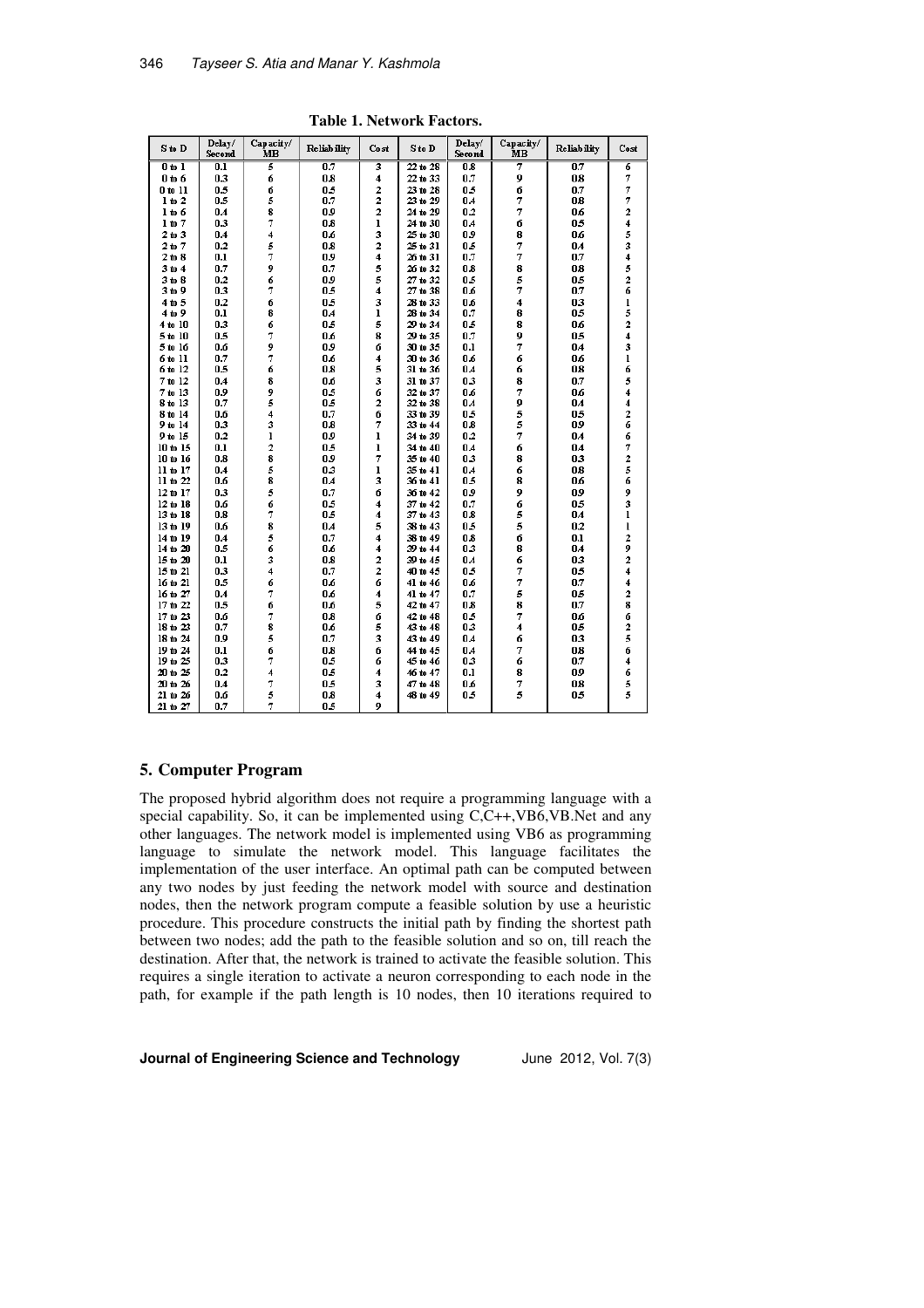| S to D       | Delay/<br>Second | Capacity/<br>MB    | Reliab ility | Cost                    | S to D       | Delay/<br>Second | Capacity/<br>MВ | <b>Reliability</b> | Cost                    |
|--------------|------------------|--------------------|--------------|-------------------------|--------------|------------------|-----------------|--------------------|-------------------------|
| $0$ to $1$   | 0.1              | 5                  | 0.7          | 3                       | $22$ to $28$ | 0.8              | 7               | 0.7                | 6                       |
| $0$ to $6$   | 0.3              | 6                  | 0.8          | 4                       | 22 to 33     | 0.7              | 9               | 0.8                | 7                       |
| $0$ to $11$  | 0.5              | 6                  | 0.5          | $\mathbf 2$             | 23 to 28     | 0.5              | 6               | 0.7                | 7                       |
| $1$ to $2$   | 0.5              | 5                  | 0.7          | $\overline{\mathbf{2}}$ | 23 to 29     | 0.4              | 7               | 0.8                | 7                       |
| 1 to 6       | 0.4              | 8                  | 0.9          | $\overline{\mathbf{2}}$ | 24 to 29     | 0.2              | 7               | 0.6                | $\overline{\mathbf{2}}$ |
| $1$ to $7$   | 0.3              | 7                  | 0.8          | $\mathbf{I}$            | 24 to 30     | 0.4              | 6               | 0.5                | $\overline{\mathbf{4}}$ |
| $2$ to $3$   | 0.4              | 4                  | 0.6          | 3                       | 25 to 30     | 0.9              | 8               | 0.6                | 5                       |
| $2$ to $7$   | 0.2              | 5                  | 0.8          | $\overline{\mathbf{2}}$ | 25 to 31     | 0.5              | 7               | 0.4                | 3                       |
| $2$ to $8$   | 0.1              | 7                  | 0.9          | $\ddot{\phantom{0}}$    | 26 to 31     | 0.7              | 7               | 0.7                | 4                       |
| 3 to 4       | 0.7              | 9                  | 0.7          | 5                       | 26 to 32     | 0.8              | 8               | 0.8                | 5                       |
| $3$ to $8$   | 0.2              | 6                  | 0.9          | 5                       | 27 to 32     | 0.5              | 5               | 0.5                | 2                       |
| 3 to 9       | 0.3              | 7                  | 0.5          | $\overline{\mathbf{4}}$ | 27 to 38     | 0.6              | 7               | 0.7                | 6                       |
| 4t05         | 0.2              | 6                  | 0.5          | 3                       | 28 to 33     | 0.6              | 4               | 0.3                | $\mathbf{l}$            |
| 4 to 9       | 0.1              | 8                  | 0.4          | ı                       | 28 to 34     | 0.7              | 8               | 0.5                | 5                       |
| 4 to 10      | 0.3              | 6                  | 0.5          | 5                       | 29 to 34     | 0.5              | 8               | 0.6                | $\overline{\mathbf{c}}$ |
| $5$ to $10$  | 0.5              | 7                  | 0.6          | 8                       | 29 to 35     | 0.7              | 9               | 0.5                | $\overline{\mathbf{4}}$ |
| 5 to 16      | 0.6              | 9                  | 0.9          | 6                       | 30 to 35     | 0.1              | 7               | 0.4                | 3                       |
| 6 to 11      | 0.7              | 7                  | 0.6          | 4                       | 30 to 36     | 0.6              | 6               | 0.6                | $\mathbf{I}$            |
| 6 to 12      | $0.5\,$          | 6                  | 0.8          | 5                       | 31 to 36     | 0.4              | 6               | 0.8                | 6                       |
| 7 to 12      | 0.4              | 8                  | 0.6          | 3                       | 31 to 37     | 03               | 8               | 0.7                | 5                       |
| $7$ to $13$  | 0.9              | 9                  | 0.5          | 6                       | 32 to 37     | 0.6              | 7               | 0.6                | $\overline{\bf{4}}$     |
| 8 to 13      | 0.7              | 5                  | 0.5          | $\overline{\mathbf{2}}$ | 32 to 38     | 0.4              | 9               | 0.4                | $\overline{\bf{4}}$     |
| 8 to 14      | 0.6              | 4                  | 0.7          | 6                       | 33 to 39     | 0.5              | 5               | 0.5                | $\overline{\mathbf{2}}$ |
| 9 to 14      | 0.3              | 3                  | 0.8          | 7                       | 33 to 44     | 0.8              | 5               | 0.9                | 6                       |
| 9 to 15      | 0.2              | $\mathbf{I}$       | 0.9          | $\mathbf{I}$            | 34 to 39     | 0.2              | 7               | 0.4                | 6                       |
| 10 to 15     | 0.1              | 2                  | 0.5          | ı                       | 34 to 40     | 0.4              | 6               | 0.4                | 7                       |
| 10 to 16     | 0.8              | $\bar{\mathbf{8}}$ | 0.9          | 7                       | 35 to 40     | 03               | 8               | 0.3                | $\overline{\mathbf{c}}$ |
| $11$ to $17$ | 0.4              | 5                  | 03           | ı                       | 35 to 41     | 0.4              | 6               | 0.8                | 5                       |
| $11$ to $22$ | 0.6              | 8                  | 0.4          | 3                       | 36 to 41     | 0.5              | 8               | 0.6                | 6                       |
| 12 to 17     | 0.3              | 5                  | 0.7          | 6                       | 36 to 42     | 0.9              | 9               | 0.9                | 9                       |
| 12 to 18     | 0.6              | 6                  | 0.5          | 4                       | 37 to 42     | 0.7              | 6               | 0.5                | 3                       |
| 13 to 18     | 0.8              | 7                  | 0.5          | 4                       | 37 to 43     | 0.8              | 5               | 0.4                | $\mathbf{I}$            |
| 13 to 19     | 0.6              | 8                  | 0.4          | 5                       | 38 to 43     | 0.5              | 5               | 0.2                | $\mathbf{l}$            |
| 14 to 19     | 0.4              | 5                  | 0.7          | $\overline{\mathbf{4}}$ | 38 to 49     | 0.8              | 6               | 0.1                | $\overline{\mathbf{2}}$ |
| 14 to 20     | 0.5              | 6                  | 0.6          | $\ddot{\phantom{0}}$    | 39 to 44     | 03               | 8               | 0.4                | 9                       |
| 15 to 20     | 0.1              | 3                  | 0.8          | 2                       | 39 to 45     | 0.4              | 6               | 0.3                | 2                       |
| $15$ to $21$ | 0.3              | 4                  | 0.7          | $\overline{\mathbf{2}}$ | 40 to 45     | 0.5              | 7               | 0.5                | 4                       |
| 16 to 21     | 0.5              | 6                  | 0.6          | 6                       | 41 to 46     | 0.6              | 7               | 0.7                | 4                       |
| 16 to 27     | 0.4              | 7                  | 0.6          | $\ddot{\phantom{0}}$    | 41 to 47     | 0.7              | 5               | 0.5                | 2                       |
| 17 to 22     | 0.5              | 6                  | 0.6          | 5                       | 42 to 47     | 0.8              | 8               | 0.7                | 8                       |
| 17 to 23     | 0.6              | 7                  | 0.8          | 6                       | 42 to 48     | 0.5              | 7               | 0.6                | 6                       |
| 18 to 23     | 0.7              | 8                  | 0.6          | 5                       | 43 to 48     | 03               | 4               | 0.5                | 2                       |
| 18 to 24     | 0.9              | 5                  | 0.7          | 3                       | 43 to 49     | 0.4              | 6               | 0.3                | 5                       |
| 19 to 24     | 0.1              | 6                  | 0.8          | 6                       | 44 to 45     | 0.4              | 7               | 0.8                | 6                       |
| 19 to 25     | 0.3              | 7                  | 0.5          | 6                       | 45 to 46     | 03               | 6               | 0.7                | 4                       |
| 20 to 25     | 0.2              | 4                  | 0.5          | 4                       | 46 to 47     | 0.1              | 8               | 0.9                | 6                       |
| 20 to 26     | 0.4              |                    | 0.5          | 3                       | 47 to 48     | 0.6              | 7               | 0.8                | 5                       |
| 21 to 26     | 0.6              | 7<br>5             | 0.8          | 4                       | 48 to 49     | 0.5              | 5               | 0.5                | 5                       |
| $21 + 27$    | 07               | 7                  | ΩS           | o                       |              |                  |                 |                    |                         |

**Table 1. Network Factors.**

#### **5. Computer Program**

The proposed hybrid algorithm does not require a programming language with a special capability. So, it can be implemented using C,C++,VB6,VB.Net and any other languages. The network model is implemented using VB6 as programming language to simulate the network model. This language facilitates the implementation of the user interface. An optimal path can be computed between any two nodes by just feeding the network model with source and destination nodes, then the network program compute a feasible solution by use a heuristic procedure. This procedure constructs the initial path by finding the shortest path between two nodes; add the path to the feasible solution and so on, till reach the destination. After that, the network is trained to activate the feasible solution. This requires a single iteration to activate a neuron corresponding to each node in the path, for example if the path length is 10 nodes, then 10 iterations required to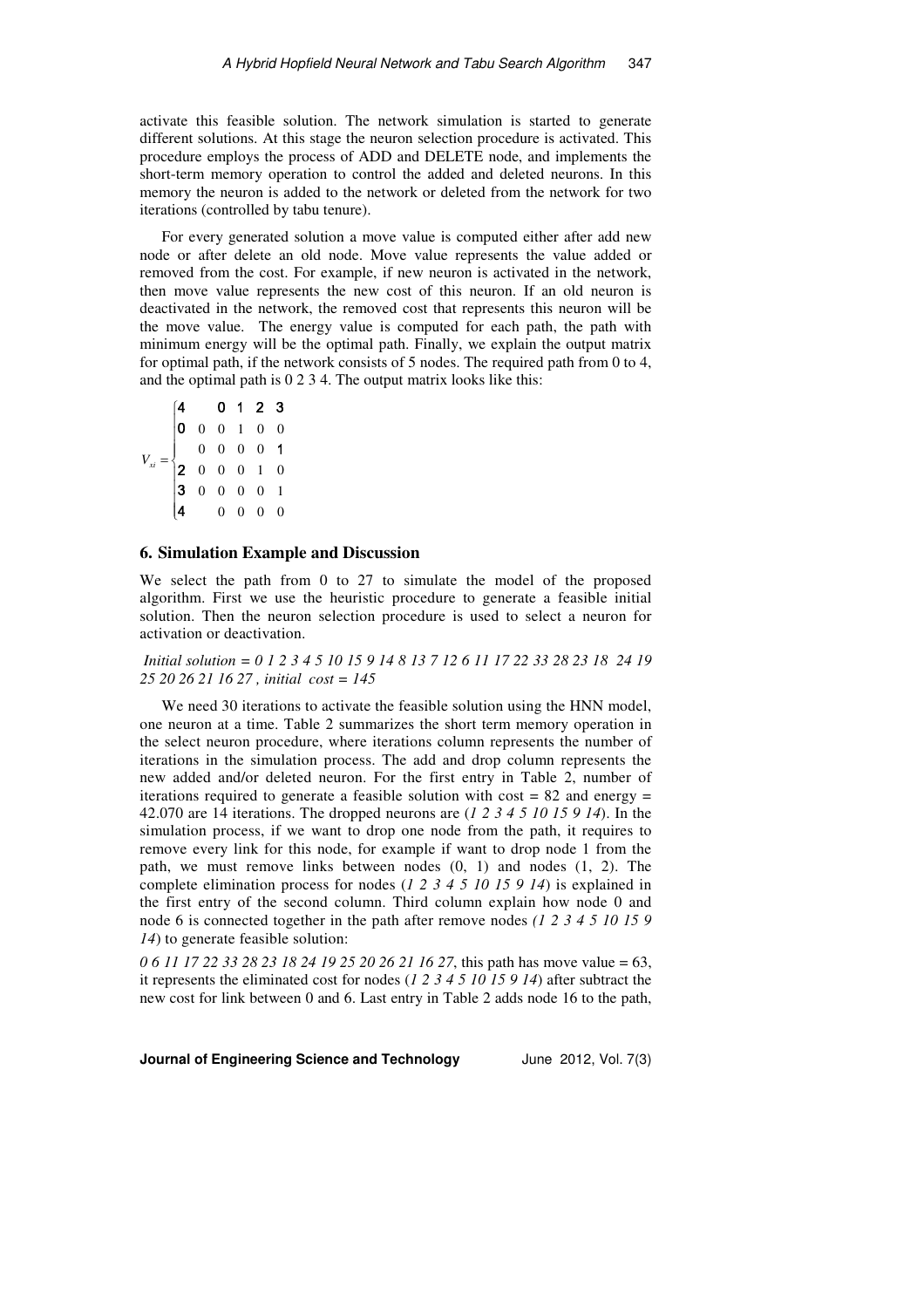activate this feasible solution. The network simulation is started to generate different solutions. At this stage the neuron selection procedure is activated. This procedure employs the process of ADD and DELETE node, and implements the short-term memory operation to control the added and deleted neurons. In this memory the neuron is added to the network or deleted from the network for two iterations (controlled by tabu tenure).

For every generated solution a move value is computed either after add new node or after delete an old node. Move value represents the value added or removed from the cost. For example, if new neuron is activated in the network, then move value represents the new cost of this neuron. If an old neuron is deactivated in the network, the removed cost that represents this neuron will be the move value. The energy value is computed for each path, the path with minimum energy will be the optimal path. Finally, we explain the output matrix for optimal path, if the network consists of 5 nodes. The required path from 0 to 4, and the optimal path is 0 2 3 4. The output matrix looks like this:

| $V_{xi} = \begin{cases} \mathbf{4} & \mathbf{0} & \mathbf{1} & \mathbf{2} & \mathbf{3} \\ \mathbf{0} & 0 & 0 & 1 & 0 & 0 \\ & 0 & 0 & 0 & 0 & \mathbf{1} \\ \mathbf{2} & 0 & 0 & 0 & 1 & 0 \\ \mathbf{3} & 0 & 0 & 0 & 0 & 1 \\ \mathbf{4} & 0 & 0 & 0 & 0 & 0 \\ \end{cases}$ |  |  |  |
|--------------------------------------------------------------------------------------------------------------------------------------------------------------------------------------------------------------------------------------------------------------------------------|--|--|--|
|                                                                                                                                                                                                                                                                                |  |  |  |
|                                                                                                                                                                                                                                                                                |  |  |  |
|                                                                                                                                                                                                                                                                                |  |  |  |

### **6. Simulation Example and Discussion**

We select the path from 0 to 27 to simulate the model of the proposed algorithm. First we use the heuristic procedure to generate a feasible initial solution. Then the neuron selection procedure is used to select a neuron for activation or deactivation.

 *Initial solution = 0 1 2 3 4 5 10 15 9 14 8 13 7 12 6 11 17 22 33 28 23 18 24 19 25 20 26 21 16 27 , initial cost = 145* 

We need 30 iterations to activate the feasible solution using the HNN model, one neuron at a time. Table 2 summarizes the short term memory operation in the select neuron procedure, where iterations column represents the number of iterations in the simulation process. The add and drop column represents the new added and/or deleted neuron. For the first entry in Table 2, number of iterations required to generate a feasible solution with  $cost = 82$  and energy = 42.070 are 14 iterations. The dropped neurons are (*1 2 3 4 5 10 15 9 14*). In the simulation process, if we want to drop one node from the path, it requires to remove every link for this node, for example if want to drop node 1 from the path, we must remove links between nodes (0, 1) and nodes (1, 2). The complete elimination process for nodes (*1 2 3 4 5 10 15 9 14*) is explained in the first entry of the second column. Third column explain how node 0 and node 6 is connected together in the path after remove nodes *(1 2 3 4 5 10 15 9 14*) to generate feasible solution:

*0 6 11 17 22 33 28 23 18 24 19 25 20 26 21 16 27*, this path has move value = 63, it represents the eliminated cost for nodes (*1 2 3 4 5 10 15 9 14*) after subtract the new cost for link between 0 and 6. Last entry in Table 2 adds node 16 to the path,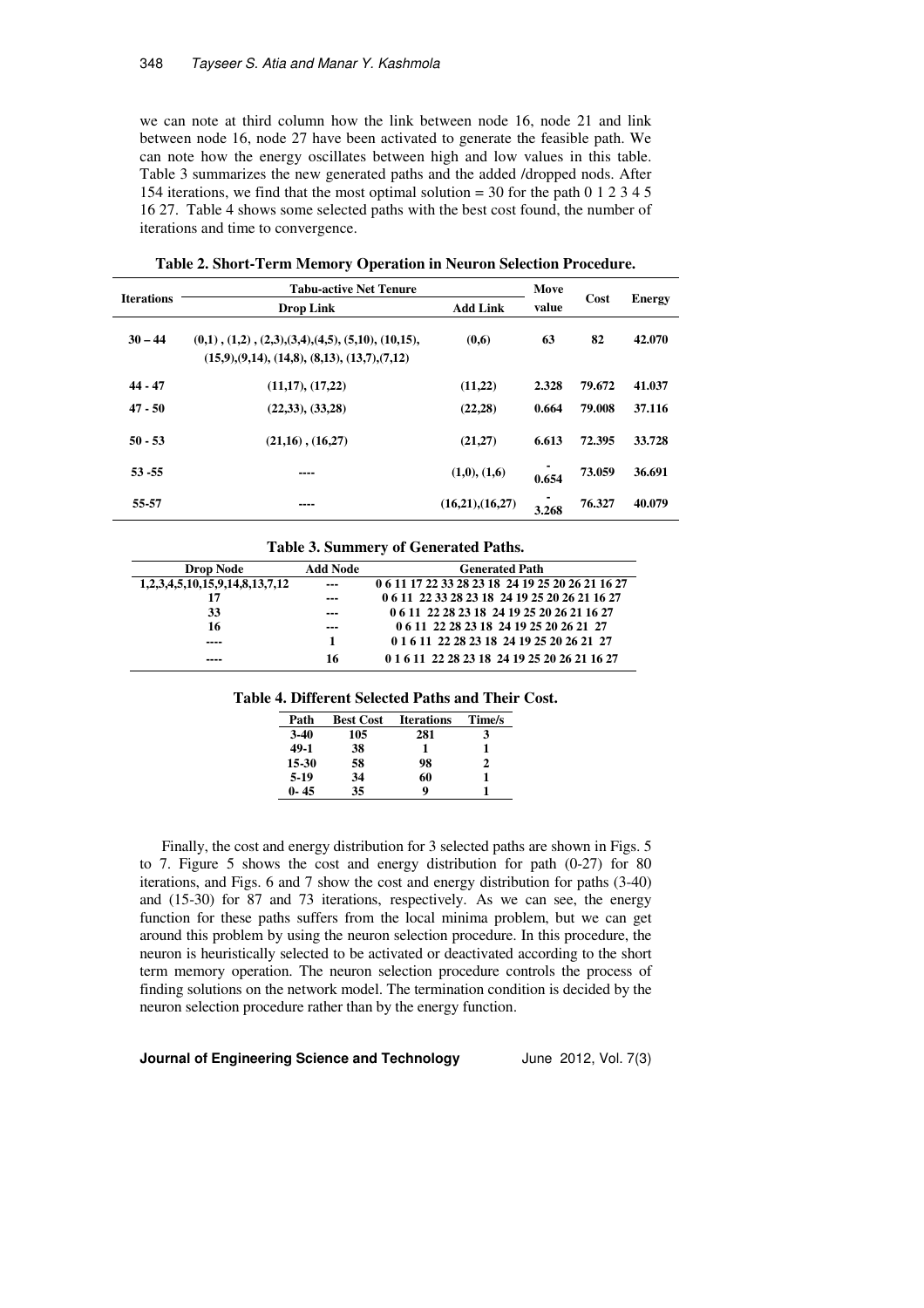we can note at third column how the link between node 16, node 21 and link between node 16, node 27 have been activated to generate the feasible path. We can note how the energy oscillates between high and low values in this table. Table 3 summarizes the new generated paths and the added /dropped nods. After 154 iterations, we find that the most optimal solution = 30 for the path 0 1 2 3 4 5 16 27. Table 4 shows some selected paths with the best cost found, the number of iterations and time to convergence.

| <b>Iterations</b> | <b>Tabu-active Net Tenure</b>                                                                                                | Move            |       |        |               |
|-------------------|------------------------------------------------------------------------------------------------------------------------------|-----------------|-------|--------|---------------|
|                   | <b>Drop Link</b>                                                                                                             | <b>Add Link</b> | value | Cost   | <b>Energy</b> |
| $30 - 44$         | $(0,1)$ , $(1,2)$ , $(2,3)$ , $(3,4)$ , $(4,5)$ , $(5,10)$ , $(10,15)$ ,<br>$(15,9), (9,14), (14,8), (8,13), (13,7), (7,12)$ | (0,6)           | 63    | 82     | 42.070        |
| $44 - 47$         | (11,17), (17,22)                                                                                                             | (11,22)         | 2.328 | 79.672 | 41.037        |
| $47 - 50$         | (22,33), (33,28)                                                                                                             | (22, 28)        | 0.664 | 79.008 | 37.116        |
| $50 - 53$         | $(21,16)$ , $(16,27)$                                                                                                        | (21,27)         | 6.613 | 72.395 | 33.728        |
| $53 - 55$         | ----                                                                                                                         | (1,0), (1,6)    | 0.654 | 73.059 | 36.691        |
| 55-57             | ----                                                                                                                         | (16,21),(16,27) | 3.268 | 76.327 | 40.079        |

**Table 2. Short-Term Memory Operation in Neuron Selection Procedure.** 

**Table 3. Summery of Generated Paths.** 

| <b>Drop Node</b>               | <b>Add Node</b> | <b>Generated Path</b>                            |
|--------------------------------|-----------------|--------------------------------------------------|
| 1,2,3,4,5,10,15,9,14,8,13,7,12 | $- - -$         | 0 6 11 17 22 33 28 23 18 24 19 25 20 26 21 16 27 |
| 17                             | ---             | 0 6 11 22 33 28 23 18 24 19 25 20 26 21 16 27    |
| 33                             | ---             | 0 6 11 22 28 23 18 24 19 25 20 26 21 16 27       |
| 16                             | $--$            | 0 6 11 22 28 23 18 24 19 25 20 26 21 27          |
| ----                           | 1               | 0 1 6 11 22 28 23 18 24 19 25 20 26 21 27        |
| ----                           | 16              | 0 1 6 11 22 28 23 18 24 19 25 20 26 21 16 27     |

#### **Table 4. Different Selected Paths and Their Cost.**

| Path     | <b>Best Cost</b> | <b>Iterations</b> | Time/s |
|----------|------------------|-------------------|--------|
| $3-40$   | 105              | 281               |        |
| 49-1     | 38               |                   |        |
| 15-30    | 58               | 98                | 2      |
| 5-19     | 34               | 60                |        |
| $0 - 45$ | 35               | 9                 |        |

Finally, the cost and energy distribution for 3 selected paths are shown in Figs. 5 to 7. Figure 5 shows the cost and energy distribution for path (0-27) for 80 iterations, and Figs. 6 and 7 show the cost and energy distribution for paths (3-40) and (15-30) for 87 and 73 iterations, respectively. As we can see, the energy function for these paths suffers from the local minima problem, but we can get around this problem by using the neuron selection procedure. In this procedure, the neuron is heuristically selected to be activated or deactivated according to the short term memory operation. The neuron selection procedure controls the process of finding solutions on the network model. The termination condition is decided by the neuron selection procedure rather than by the energy function.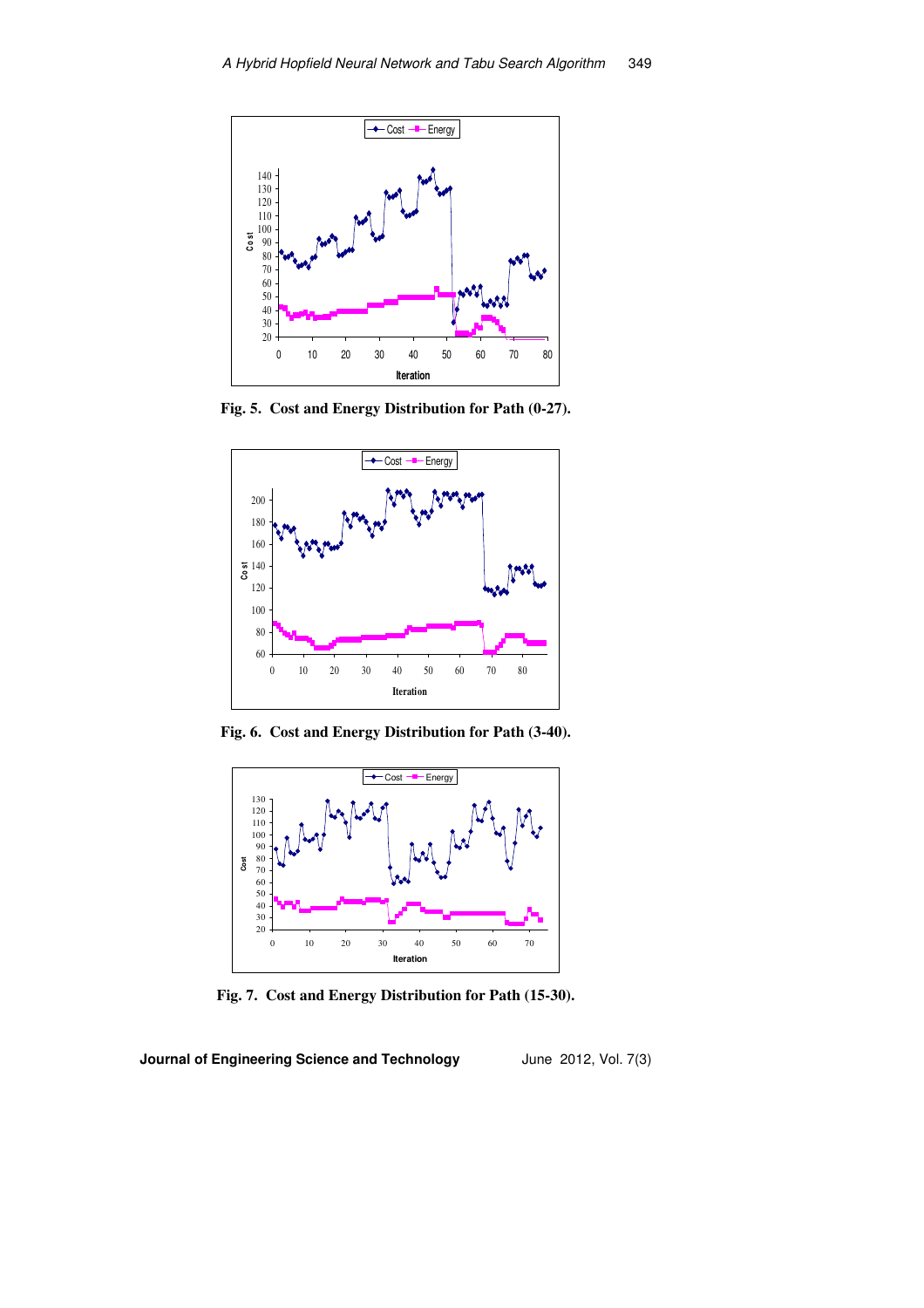

**Fig. 5. Cost and Energy Distribution for Path (0-27).**



**Fig. 6. Cost and Energy Distribution for Path (3-40).**



**Fig. 7. Cost and Energy Distribution for Path (15-30).**